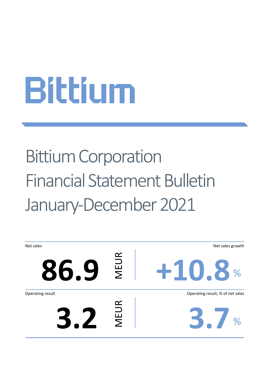# Bittium Corporation Financial Statement Bulletin January-December 2021

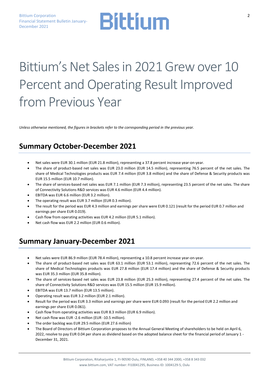### Bittium's Net Sales in 2021 Grew over 10 Percent and Operating Result Improved from Previous Year

*Unless otherwise mentioned, the figures in brackets refer to the corresponding period in the previous year.*

### **Summary October-December 2021**

- Net sales were EUR 30.1 million (EUR 21.8 million), representing a 37.8 percent increase year-on-year.
- The share of product-based net sales was EUR 23.0 million (EUR 14.5 million), representing 76.5 percent of the net sales. The share of Medical Technologies products was EUR 7.4 million (EUR 3.8 million) and the share of Defense & Security products was EUR 15.5 million (EUR 10.7 million).
- The share of services-based net sales was EUR 7.1 million (EUR 7.3 million), representing 23.5 percent of the net sales. The share of Connectivity Solutions R&D services was EUR 4.6 million (EUR 4.4 million).
- EBITDA was EUR 6.6 million (EUR 3.2 million).
- The operating result was EUR 3.7 million (EUR 0.3 million).
- The result for the period was EUR 4.3 million and earnings per share were EUR 0.121 (result for the period EUR 0.7 million and earnings per share EUR 0.019).
- Cash flow from operating activities was EUR 4.2 million (EUR 5.1 million).
- Net cash flow was EUR 2.2 million (EUR 0.6 million).

### **Summary January-December 2021**

- Net sales were EUR 86.9 million (EUR 78.4 million), representing a 10.8 percent increase year-on-year.
- The share of product-based net sales was EUR 63.1 million (EUR 53.1 million), representing 72.6 percent of the net sales. The share of Medical Technologies products was EUR 27.8 million (EUR 17.4 million) and the share of Defense & Security products was EUR 35.3 million (EUR 35.8 million).
- The share of services-based net sales was EUR 23.8 million (EUR 25.3 million), representing 27.4 percent of the net sales. The share of Connectivity Solutions R&D services was EUR 15.5 million (EUR 15.9 million).
- EBITDA was EUR 13.7 million (EUR 13.5 million).
- Operating result was EUR 3.2 million (EUR 2.1 million).
- Result for the period was EUR 3.3 million and earnings per share were EUR 0.093 (result for the period EUR 2.2 million and earnings per share EUR 0.061).
- Cash flow from operating activities was EUR 8.3 million (EUR 6.9 million).
- Net cash flow was EUR -2.6 million (EUR -10.5 million).
- The order backlog was EUR 29.5 million (EUR 27.6 million)
- The Board of Directors of Bittium Corporation proposes to the Annual General Meeting of shareholders to be held on April 6, 2022, resolve to pay EUR 0.04 per share as dividend based on the adopted balance sheet for the financial period of January 1 - December 31, 2021.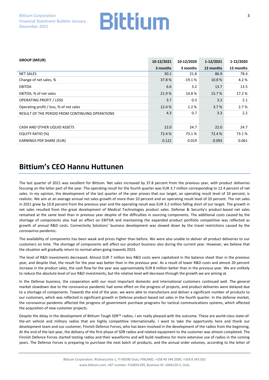| <b>GROUP (MEUR)</b>                             | 10-12/2021 | 10-12/2020 | 1-12/2021 | 1-12/2020 |
|-------------------------------------------------|------------|------------|-----------|-----------|
|                                                 | 3 months   | 3 months   | 12 months | 12 months |
| <b>NET SALES</b>                                | 30.1       | 21.8       | 86.9      | 78.4      |
| Change of net sales, %                          | 37.8%      | $-19.1%$   | 10.8%     | 4.2 %     |
| <b>EBITDA</b>                                   | 6.6        | 3.2        | 13.7      | 13.5      |
| EBITDA, % of net sales                          | 21.9%      | 14.8%      | 15.7%     | 17.2 %    |
| <b>OPERATING PROFIT / LOSS</b>                  | 3.7        | 0.3        | 3.2       | 2.1       |
| Operating profit / loss, % of net sales         | 12.4 %     | 1.2%       | 3.7%      | 2.7%      |
| RESULT OF THE PERIOD FROM CONTINUING OPERATIONS | 4.3        | 0.7        | 3.3       | 2.2       |
|                                                 |            |            |           |           |
| CASH AND OTHER LIQUID ASSETS                    | 22.0       | 24.7       | 22.0      | 24.7      |
| <b>EQUITY RATIO (%)</b>                         | 72.4 %     | 73.1 %     | 72.4 %    | 73.1%     |
| <b>EARNINGS PER SHARE (EUR)</b>                 | 0.121      | 0.019      | 0.093     | 0.061     |

### **Bittium's CEO Hannu Huttunen**

The last quarter of 2021 was excellent for Bittium. Net sales increased by 37.8 percent from the previous year, with product deliveries focusing on the latter part of the year. The operating result for the fourth quarter was EUR 3.7 million corresponding to 12.4 percent of net sales. In my opinion, the development of the last quarter of the year proves that our target, an operating result level of 10 percent, is realistic. We aim at an average annual net sales growth of more than 10 percent and an operating result level of 10 percent. The net sales in 2021 grew by 10.8 percent from the previous year and the operating result was EUR 3.2 million falling short of our target. The growth in net sales resulted from the great development of Medical Technologies product sales. Defense & Security's product-based net sales remained at the same level than in previous year despite of the difficulties in sourcing components. The additional costs caused by the shortage of components also had an effect on EBITDA and maintaining the expanded product portfolio competitive was reflected as growth of annual R&D costs. Connectivity Solutions' business development was slowed down by the travel restrictions caused by the coronavirus pandemic.

The availability of components has been weak and prices higher than before. We were also unable to deliver all product deliveries to our customers on time. The shortage of components will affect our product business also during the current year. However, we believe that the situation will gradually return to normal when going towards 2023.

The level of R&D investments decreased. Almost EUR 7 million less R&D costs were capitalized in the balance sheet than in the previous year, and despite that, the result for the year was better than in the previous year. As a result of lower R&D costs and almost 20 percent increase in the product sales, the cash flow for the year was approximately EUR 8 million better than in the previous year. We are unlikely to reduce the absolute level of our R&D investments, but the relative level will decrease through the growth we are aiming at.

In the Defense business, the cooperation with our most important domestic and international customers continued well. The general market slowdown due to the coronavirus pandemic had some effect on the progress of projects, and product deliveries were delayed due to a shortage of components. Towards the end of the year, we were able to manufacture and deliver a significant number of products to our customers, which was reflected in significant growth in Defense product-based net sales in the fourth quarter. In the defense market, the coronavirus pandemic affected the progress of government purchase programs for tactical communications systems, which affected the acquisition of new customer projects.

Despite the delay in the development of Bittium Tough SDR™ radios, I am really pleased with the outcome. These are world-class state-ofthe-art vehicle and military radios that are highly competitive internationally. I want to take the opportunity here and thank our development team and our customer, Finnish Defence Forces, who has been involved in the development of the radios from the beginning. At the end of the last year, the delivery of the first phase of SDR radios and related equipment to the customer was almost completed. The Finnish Defence Forces started testing radios and their waveforms and will build readiness for more extensive use of radios in the coming years. The Defense Forces is preparing to purchase the next batch of products, and the annual order volumes, according to the letter of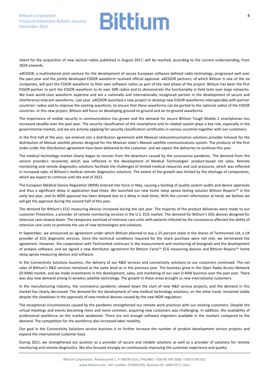intent for the acquisition of new tactical radios published in August 2017, will be reached, according to the current understanding, from 2024 onwards.

a4ESSOR, a multinational joint venture for the development of secure European software-defined radio technology, progressed well over the past year and the jointly developed ESSOR waveform received official approval. a4ESSOR partners, of which Bittium is one of the six companies, will port the ESSOR waveform to their own software radios as part of the next phase of the project. Bittium has been the first ESSOR partner to port the ESSOR waveform to its own SDR radios and to demonstrate the functionality in field tests over large networks. We have world-class waveform expertise and are a nationally and internationally recognized partner in the development of secure and interference-tolerant waveforms. Last year, a4ESSOR launched a new project to develop new ESSOR waveforms interoperable with partner countries' radios and to improve the existing waveform, to ensure that these waveforms can be ported to the national radios of the ESSOR countries. In this new project, Bittium will focus on developing ground-to-ground and air-to-ground waveforms.

The importance of mobile security in communications has grown and the demand for secure Bittium Tough Mobile 2 smartphones has increased steadily over the past year. The security classification of the smartphone and its related system plays a key role, especially in the governmental market, and we are actively applying for security classification certificates in various countries together with our customers.

In the first half of the year, we entered into a distribution agreement with Mexican telecommunication solutions provider Inmosat for the distribution of Mexsat satellite phones designed for the Mexican state's Mexsat satellite communications system. The products of the first order under the distribution agreement have been delivered to the customer, and we expect the deliveries to continue this year.

The medical technology market clearly began to recover from the downturn caused by the coronavirus pandemic. The demand from the service providers recovered, which was reflected in the development of Medical Technologies' product-based net sales. Remote monitoring and remote diagnostics solutions facilitate the challenges of limited medical resources and cost pressures, which was reflected in increased sales of Bittium's medical remote diagnostics solutions. The extent of the growth was limited by the shortage of components, which we expect to continue until the end of 2022.

The European Medical Device Regulation (MDR) entered into force in May, causing a backlog of quality system audits and device approvals and thus a significant delay in application lead times. We launched our new home sleep apnea testing solution Bittium Respiro™ in the early last year, and its MDR approval has been delayed due to a delay in lead times. With the current information at hand, we believe we will get the approval during the second half of this year.

The demand for Bittium's ECG measuring devices increased during the last year. The majority of the product deliveries were made to our customer Preventice, a provider of remote monitoring services in the U.S. ECG market. The demand for Bittium's EEG devices designed for intensive care slowed down. The temporary overload of intensive care units with patients infected by the coronavirus affected the ability of intensive care units to promote the use of new technologies and solutions.

In September, we announced an agreement under which Bittium planned to buy a 25 percent stake in the shares of Technomed Ltd, a UK provider of ECG diagnostic services. Since the technical conditions required for the share purchase were not met, we terminated the agreement. However, the cooperation with Technomed continues in the measurement and monitoring of biosignals and the development of analysis software, and we signed a new distributor agreement for Bittium Faros™ ECG measuring devices and Bittium Respiro™ home sleep apnea measuring devices and software.

In the Connectivity Solutions business, the delivery of our R&D services and connectivity solutions to our customers continued. The net sales of Bittium's R&D services remained at the same level as in the previous year. The business grew in the Open Radio Access Network (O-RAN) market, and we made investments in the development, sales, and marketing of our own O-RAN business over the past year. There was also new demand arising in wireless satellite technology. The growth in these areas brought us new international customers.

In the manufacturing industry, the coronavirus pandemic slowed down the start of new R&D service projects, and the demand in this market has clearly decreased. The demand for the development of new medical technology solutions, on the other hand, remained stable despite the slowdown in the approvals of new medical devices caused by the new MDR regulation.

The exceptional circumstances caused by the pandemic strengthened our remote work practices with our existing customers. Despite the virtual meetings and events becoming more and more common, acquiring new customers was challenging. In addition, the availability of professional workforce on the market weakened. There are not enough software engineers available in the markets compared to the demand. The competition for the workforce also increased labor mobility.

Our goal in the Connectivity Solutions service business is to further increase the number of product development service projects and expand the international customer base.

During 2021, we strengthened our position as a provider of secure and reliable solutions as well as a provider of solutions for remote monitoring and remote diagnostics. We also focused strongly on continuously improving the customer experience and quality.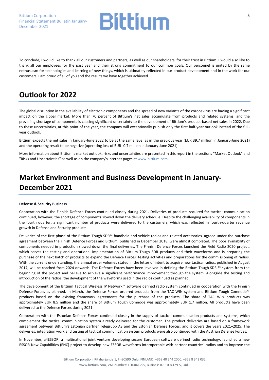

To conclude, I would like to thank all our customers and partners, as well as our shareholders, for their trust in Bittium. I would also like to thank all our employees for the past year and their strong commitment to our common goals. Our personnel is united by the same enthusiasm for technologies and learning of new things, which is ultimately reflected in our product development and in the work for our customers. I am proud of all of you and the results we have together achieved.

### **Outlook for 2022**

The global disruption in the availability of electronic components and the spread of new variants of the coronavirus are having a significant impact on the global market. More than 70 percent of Bittium's net sales accumulate from products and related systems, and the prevailing shortage of components is causing significant uncertainty to the development of Bittium's product-based net sales in 2022. Due to these uncertainties, at this point of the year, the company will exceptionally publish only the first half-year outlook instead of the fullyear outlook.

Bittium expects the net sales in January-June 2022 to be at the same level as in the previous year (EUR 39.7 million in January-June 2021) and the operating result to be negative (operating loss of EUR -0.7 million in January-June 2021).

More information about Bittium's market outlook, risks and uncertainties are presented in this report in the sections "Market Outlook" and "Risks and Uncertainties" as well as on the company's internet pages at [www.bittium.com.](http://www.bittium.com/) 

### **Market Environment and Business Development in January-December 2021**

#### **Defense & Security Business**

Cooperation with the Finnish Defence Forces continued closely during 2021. Deliveries of products required for tactical communication continued, however, the shortage of components slowed down the delivery schedule. Despite the challenging availability of components in the fourth quarter, a significant number of products were delivered to the customers, which was reflected in fourth-quarter revenue growth in Defense and Security products.

Deliveries of the first phase of the Bittium Tough SDR™ handheld and vehicle radios and related accessories, agreed under the purchase agreement between the Finish Defence Forces and Bittium, published in December 2018, were almost completed. The poor availability of components needed in production slowed down the final deliveries. The Finnish Defence Forces launched the Field Radio 2020 project, which serves the testing and operational implementation of Bittium Tough SDR products and their waveforms and is preparing the purchase of the next batch of products to expand the Defence Forces' testing activities and preparations for the commissioning of radios. With the current understanding, the annual order volumes stated in the letter of intent to acquire new tactical radios, published in August 2017, will be reached from 2024 onwards. The Defence Forces have been involved in defining the Bittium Tough SDR ™ system from the beginning of the project and believe to achieve a significant performance improvement through the system. Alongside the testing and introduction of the radios, the development of the waveforms used in the radios continued as planned.

The development of the Bittium Tactical Wireless IP Network™ software defined radio system continued in cooperation with the Finnish Defense Forces as planned. In March, the Defense Forces ordered products from the TAC WIN system and Bittium Tough Comnode™ products based on the existing framework agreements for the purchase of the products. The share of TAC WIN products was approximately EUR 8.5 million and the share of Bittium Tough Comnode was approximately EUR 1.7 million. All products have been delivered to the Defence Forces during 2021.

Cooperation with the Estonian Defense Forces continued closely in the supply of tactical communication products and systems, which complement the tactical communication system already delivered for the customer. The product deliveries are based on a framework agreement between Bittium's Estonian partner Telegrupp AS and the Estonian Defense Forces, and it covers the years 2021–2025. The deliveries, integration work and testing of tactical communication system products were also continued with the Austrian Defense Forces.

In November, a4ESSOR, a multinational joint venture developing secure European software defined radio technology, launched a new ESSOR New Capabilities (ENC) project to develop new ESSOR waveforms interoperable with partner countries' radios and to improve the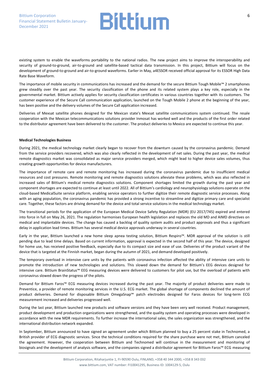existing system to enable the waveforms portability to the national radios. The new project aims to improve the interoperability and security of ground-to-ground, air-to-ground and satellite-based tactical data transmission. In this project, Bittium will focus on the development of ground-to-ground and air-to-ground waveforms. Earlier in May, a4ESSOR received official approval for its ESSOR High Data Rate Base Waveform.

The importance of mobile security in communications has increased and the demand for the secure Bittium Tough Mobile™ 2 smartphones grew steadily over the past year. The security classification of the phone and its related system plays a key role, especially in the governmental market. Bittium actively applies for security classification certificates in various countries together with its customers. The customer experience of the Secure Call communication application, launched on the Tough Mobile 2 phone at the beginning of the year, has been positive and the delivery volumes of the Secure Call application increased.

Deliveries of Mexsat satellite phones designed for the Mexican state's Mexsat satellite communications system continued. The resale cooperation with the Mexican telecommunications solutions provider Inmosat has worked well and the products of the first order related to the distributor agreement have been delivered to the customer. The product deliveries to Mexico are expected to continue this year.

#### **Medical Technologies Business**

During 2021, the medical technology market clearly began to recover from the downturn caused by the coronavirus pandemic. Demand from the service providers recovered, which was also clearly reflected in the development of net sales. During the past year, the medical remote diagnostics market was consolidated as major service providers merged, which might lead to higher device sales volumes, thus creating growth opportunities for device manufacturers.

The importance of remote care and remote monitoring has increased during the coronavirus pandemic due to insufficient medical resources and cost pressures. Remote monitoring and remote diagnostics solutions alleviate these problems, which was also reflected in increased sales of Bittium's medical remote diagnostics solutions. Component shortages limited the growth during the past year and component shortages are expected to continue at least until 2022. All of Bittium's cardiology and neurophysiology solutions operate on the cloud-based MedicalSuite service platform, enabling service operators to further digitize their remote diagnostic service processes. Along with an aging population, the coronavirus pandemic has provided a strong incentive to streamline and digitize primary care and specialist care. Together, these factors are driving demand for the device and total service solutions in the medical technology market.

The transitional periods for the application of the European Medical Device Safety Regulation (MDR) (EU 2017/745) expired and entered into force in full on May 26, 2021. The regulation harmonises European health legislation and replaces the old MD and AIMD directives on medical and implantable devices. The change has caused a backlog of quality system audits and product approvals and thus a significant delay in application lead times. Bittium has several medical device approvals underway in several countries.

Early in the year, Bittium launched a new home sleep apnea testing solution, Bittium Respiro™. MDR approval of the solution is still pending due to lead time delays. Based on current information, approval is expected in the second half of this year. The device, designed for home use, has received positive feedback, especially due to its compact size and ease of use. Deliveries of the product variant of the device that is targeted at the Finnish market, began during the autumn of 2021, and demand developed positively.

The temporary overload in intensive care units by the patients with coronavirus infection affected the ability of intensive care units to promote the introduction of new technologies and solutions. This slowed down the demand for Bittium's EEG devices designed for intensive care. Bittium BrainStatus™ EEG measuring devices were delivered to customers for pilot use, but the overload of patients with coronavirus slowed down the progress of the pilots.

Demand for Bittium Faros™ ECG measuring devices increased during the past year. The majority of product deliveries were made to Preventice, a provider of remote monitoring services in the U.S. ECG market. The global shortage of components declined the amount of product deliveries. Demand for disposable Bittium OmegaSnap™ patch electrodes designed for Faros devices for long-term ECG measurement increased and deliveries progressed well.

During the last year, Bittium launched new products and software versions and they have been very well received. Product management, product development and production organizations were strengthened, and the quality system and operating processes were developed in accordance with the new MDR requirements. To further increase the international sales, the sales organization was strengthened, and the international distribution network expanded.

In September, Bittium announced to have signed an agreement under which Bittium planned to buy a 25 percent stake in Technomed, a British provider of ECG diagnostic services. Since the technical conditions required for the share purchase were not met, Bittium canceled the agreement. However, the cooperation between Bittium and Technomed will continue in the measurement and monitoring of biosignals and the development of analysis software, and the companies signed a distributor agreement for Bittium Faros™ ECG measuring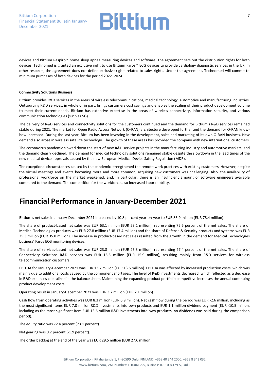devices and Bittium Respiro™ home sleep apnea measuring devices and software. The agreement sets out the distribution rights for both devices. Technomed is granted an exclusive right to use Bittium Faros™ ECG devices to provide cardiology diagnostic services in the UK. In other respects, the agreement does not define exclusive rights related to sales rights. Under the agreement, Technomed will commit to minimum purchases of both devices for the period 2022–2024.

#### **Connectivity Solutions Business**

Bittium provides R&D services in the areas of wireless telecommunications, medical technology, automotive and manufacturing industries. Outsourcing R&D services, in whole or in part, brings customers cost savings and enables the scaling of their product development volume to meet their current needs. Bittium has extensive expertise in the areas of wireless connectivity, information security, and various communication technologies (such as 5G).

The delivery of R&D services and connectivity solutions for the customers continued and the demand for Bittium's R&D services remained stable during 2021. The market for Open Radio Access Network (O-RAN) architecture developed further and the demand for O-RAN knowhow increased. During the last year, Bittium has been investing in the development, sales and marketing of its own O-RAN business. New demand also arose in wireless satellite technology. The growth of these areas has provided the company with new international customers.

The coronavirus pandemic slowed down the start of new R&D service projects in the manufacturing industry and automotive markets, and the demand clearly declined. The demand for medical technology solutions remained stable despite the slowdown in the lead times of the new medical device approvals caused by the new European Medical Device Safety Regulation (MDR).

The exceptional circumstances caused by the pandemic strengthened the remote work practices with existing customers. However, despite the virtual meetings and events becoming more and more common, acquiring new customers was challenging. Also, the availability of professional workforce on the market weakened, and, in particular, there is an insufficient amount of software engineers available compared to the demand. The competition for the workforce also increased labor mobility.

### **Financial Performance in January-December 2021**

Bittium's net sales in January-December 2021 increased by 10.8 percent year-on-year to EUR 86.9 million (EUR 78.4 million).

The share of product-based net sales was EUR 63.1 million (EUR 53.1 million), representing 72.6 percent of the net sales. The share of Medical Technologies products was EUR 27.8 million (EUR 17.4 million) and the share of Defense & Security products and systems was EUR 35.3 million (EUR 35.8 million). The increase in product-based net sales resulted from the growth in the demand for Medical Technologies business' Faros ECG monitoring devices.

The share of services-based net sales was EUR 23.8 million (EUR 25.3 million), representing 27.4 percent of the net sales. The share of Connectivity Solutions R&D services was EUR 15.5 million (EUR 15.9 million), resulting mainly from R&D services for wireless telecommunication customers.

EBITDA for January-December 2021 was EUR 13.7 million (EUR 13.5 million). EBITDA was affected by increased production costs, which was mainly due to additional costs caused by the component shortages. The level of R&D investments decreased, which reflected as a decrease in R&D expenses capitalized in the balance sheet. Maintaining the expanding product portfolio competitive increases the annual continuing product development costs.

Operating result in January-December 2021 was EUR 3.2 million (EUR 2.1 million).

Cash flow from operating activities was EUR 8.3 million (EUR 6.9 million). Net cash flow during the period was EUR -2.6 million, including as the most significant items EUR 7.0 million R&D investments into own products and EUR 1.1 million dividend payment (EUR -10.5 million, including as the most significant item EUR 13.6 million R&D investments into own products, no dividends was paid during the comparison period).

The equity ratio was 72.4 percent (73.1 percent).

Net gearing was 0.2 percent (-1.9 percent).

The order backlog at the end of the year was EUR 29.5 million (EUR 27.6 million).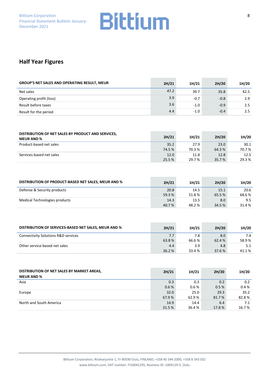### **Half Year Figures**

| <b>GROUP'S NET SALES AND OPERATING RESULT, MEUR</b> | 2H/21 | 1H/21  | 2H/20  | 1H/20 |
|-----------------------------------------------------|-------|--------|--------|-------|
| Net sales                                           | 47.2  | 39.7   | 35.8   | 42.5  |
| Operating profit (loss)                             | 3.9   | $-0.7$ | $-0.8$ | 2.9   |
| Result before taxes                                 | 3.6   | $-1.0$ | $-0.9$ | 2.5   |
| Result for the period                               | 4.4   | $-1.0$ | $-0.4$ | 2.5   |

| DISTRIBUTION OF NET SALES BY PRODUCT AND SERVICES,<br><b>MEUR AND %</b> | 2H/21  | 1H/21  | 2H/20  | 1H/20  |
|-------------------------------------------------------------------------|--------|--------|--------|--------|
| Product-based net sales                                                 | 35.2   | 27.9   | 23.0   | 30.1   |
|                                                                         | 74.5 % | 70.3 % | 64.3 % | 70.7 % |
| Services-based net sales                                                | 12.0   | 11.8   | 12.8   | 12.5   |
|                                                                         | 25.5 % | 29.7 % | 35.7 % | 29.3 % |

| DISTRIBUTION OF PRODUCT-BASED NET SALES, MEUR AND % | 2H/21  | 1H/21  | 2H/20  | 1H/20  |
|-----------------------------------------------------|--------|--------|--------|--------|
| Defense & Security products                         | 20.8   | 14.5   | 15.1   | 20.6   |
|                                                     | 59.3 % | 51.8%  | 65.5 % | 68.6%  |
| Medical Technologies products                       | 14.3   | 13.5   | 8.0    | 9.5    |
|                                                     | 40.7%  | 48.2 % | 34.5 % | 31.4 % |

| DISTRIBUTION OF SERVICES-BASED NET SALES, MEUR AND % | 2H/21  | 1H/21  | 2H/20  | 1H/20 |
|------------------------------------------------------|--------|--------|--------|-------|
| <b>Connectivity Solutions R&amp;D services</b>       | 7.7    | 7.8    | 8.0    | 7.4   |
|                                                      | 63.8%  | 66.6 % | 62.4 % | 58.9% |
| Other service-based net sales                        | 4.4    | 3.9    | 4.8    | 5.1   |
|                                                      | 36.2 % | 33.4 % | 37.6 % | 41.1% |

| DISTRIBUTION OF NET SALES BY MARKET AREAS,<br><b>MEUR AND %</b> | 2H/21  | 1H/21 | 2H/20  | 1H/20 |
|-----------------------------------------------------------------|--------|-------|--------|-------|
| Asia                                                            | 0.3    | 0.3   | 0.2    | 0.2   |
|                                                                 | 0.6%   | 0.6 % | 0.5%   | 0.4%  |
| Europe                                                          | 32.0   | 25.0  | 29.3   | 35.2  |
|                                                                 | 67.9%  | 62.9% | 81.7 % | 82.8% |
| North and South America                                         | 14.9   | 14.4  | 6.4    | 7.1   |
|                                                                 | 31.5 % | 36.4% | 17.8 % | 16.7% |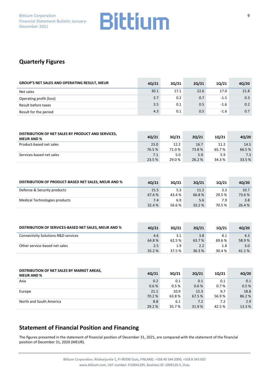### **Quarterly Figures**

| <b>GROUP'S NET SALES AND OPERATING RESULT, MEUR</b> | 4Q/21 | 30/21 | 20/21 | 10/21  | 4Q/20 |
|-----------------------------------------------------|-------|-------|-------|--------|-------|
| Net sales                                           | 30.1  | 17.1  | 22.6  | 17.0   | 21.8  |
| Operating profit (loss)                             | 3.7   | 0.2   | 0.7   | $-1.5$ | 0.3   |
| Result before taxes                                 | 3.5   | 0.1   | 0.5   | $-1.6$ | 0.2   |
| Result for the period                               | 4.3   | 0.1   | 0.5   | $-1.6$ | 0.7   |

| DISTRIBUTION OF NET SALES BY PRODUCT AND SERVICES,<br><b>MEUR AND %</b> | 4Q/21  | 30/21  | 20/21  | 10/21  | 4Q/20  |
|-------------------------------------------------------------------------|--------|--------|--------|--------|--------|
| Product-based net sales                                                 | 23.0   | 12.2   | 16.7   | 11.2   | 14.5   |
|                                                                         | 76.5%  | 71.0%  | 73.8%  | 65.7%  | 66.5 % |
| Services-based net sales                                                | 7.1    | 5.0    | 5.9    | 5.9    | 7.3    |
|                                                                         | 23.5 % | 29.0 % | 26.2 % | 34.3 % | 33.5 % |

| DISTRIBUTION OF PRODUCT-BASED NET SALES, MEUR AND % | 40/21  | 30/21  | 20/21  | 10/21  | 40/20  |
|-----------------------------------------------------|--------|--------|--------|--------|--------|
| Defense & Security products                         | 15.5   | 5.3    | 11.2   | 3.3    | 10.7   |
|                                                     | 67.6 % | 43.4 % | 66.8%  | 29.5 % | 73.6 % |
| Medical Technologies products                       | 7.4    | 6.9    | 5.6    | 7.9    | 3.8    |
|                                                     | 32.4 % | 56.6 % | 33.2 % | 70.5 % | 26.4 % |

| DISTRIBUTION OF SERVICES-BASED NET SALES, MEUR AND % | 40/21 | 30/21            | 20/21  | 10/21  | 40/20            |
|------------------------------------------------------|-------|------------------|--------|--------|------------------|
| <b>Connectivity Solutions R&amp;D services</b>       | 4.6   | 3.1              | 3.8    | 4.1    | 4.3              |
|                                                      | 64.8% | 62.5 %           | 63.7 % | 69.6 % | 58.9%            |
| Other service-based net sales                        | 2.5   | 1.9 <sup>°</sup> | 2.2    | 1.8    | 3.0 <sub>2</sub> |
|                                                      | 35.2% | 37.5 %           | 36.3%  | 30.4 % | 41.1%            |

| DISTRIBUTION OF NET SALES BY MARKET AREAS,<br><b>MEUR AND %</b> | 4Q/21  | 30/21  | 20/21  | 10/21  | 4Q/20  |
|-----------------------------------------------------------------|--------|--------|--------|--------|--------|
| Asia                                                            | 0.2    | 0.1    | 0.1    | 0.1    | 0.1    |
|                                                                 | 0.6%   | 0.5%   | 0.6%   | 0.7%   | 0.5%   |
| Europe                                                          | 21.1   | 10.9   | 15.3   | 9.7    | 18.8   |
|                                                                 | 70.2 % | 63.8%  | 67.5 % | 56.9%  | 86.2%  |
| North and South America                                         | 8.8    | 6.1    | 7.2    | 7.2    | 2.9    |
|                                                                 | 29.2 % | 35.7 % | 31.9%  | 42.5 % | 13.3 % |

### **Statement of Financial Position and Financing**

The figures presented in the statement of financial position of December 31, 2021, are compared with the statement of the financial position of December 31, 2020 (MEUR).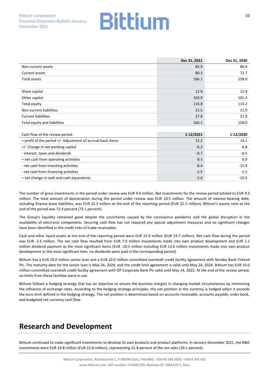|                              | Dec 31, 2021 | Dec 31, 2020 |
|------------------------------|--------------|--------------|
| Non-current assets           | 85.9         | 86.4         |
| Current assets               | 80.3         | 71.7         |
| Total assets                 | 166.1        | 158.0        |
|                              |              |              |
| Share capital                | 12.9         | 12.9         |
| Other capital                | 103.9        | 101.3        |
| Total equity                 | 116.8        | 114.2        |
| Non-current liabilities      | 21.5         | 21.9         |
| <b>Current liabilities</b>   | 27.8         | 21.8         |
| Total equity and liabilities | 166.1        | 158.0        |

| Cash flow of the review period:                              | 1-12/2021 | 1-12/2020 |
|--------------------------------------------------------------|-----------|-----------|
| + profit of the period +/- Adjustment of accrual basis items | 15.2      | 14.1      |
| +/- Change in net working capital                            | $-6.2$    | $-6.8$    |
| - interest, taxes and dividends                              | $-0.7$    | $-0.5$    |
| = net cash from operating activities                         | 8.3       | 6.9       |
| - net cash from investing activities                         | $-8.4$    | $-15.9$   |
| - net cash from financing activities                         | $-2.5$    | $-1.5$    |
| = net change in cash and cash equivalents                    | $-2.6$    | $-10.5$   |

The number of gross investments in the period under review was EUR 9.6 million. Net investments for the review period totaled to EUR 9.3 million. The total amount of depreciation during the period under review was EUR 10.5 million. The amount of interest-bearing debt, including finance lease liabilities, was EUR 22.3 million at the end of the reporting period (EUR 22.5 million). Bittium's equity ratio at the end of the period was 72.4 percent (73.1 percent).

The Group's liquidity remained good despite the uncertainty caused by the coronavirus pandemic and the global disruption in the availability of electronic components. Securing cash flow has not required any special adjustment measures and no significant changes have been identified in the credit risks of trade receivables.

Cash and other liquid assets at the end of the reporting period were EUR 22.0 million (EUR 24.7 million). Net cash flow during the period was EUR -2.6 million. The net cash flow resulted from EUR 7.0 million investments made into own product development and EUR 1.1 million dividend payment as the most significant items (EUR -10.5 million including EUR 13.6 million investments made into own product development as the most significant item, no dividends were paid in the corresponding period).

Bittium has a EUR 20.0 million senior loan and a EUR 10.0 million committed overdraft credit facility agreement with Nordea Bank Finland Plc. The maturity date for the senior loan is May 24, 2024, and the credit limit agreement is valid until May 24, 2024. Bittium has EUR 10.0 million committed overdraft credit facility agreement with OP Corporate Bank Plc valid until May 24, 2022. At the end of the review period, no limits from these facilities were in use.

Bittium follows a hedging strategy that has an objective to ensure the business margins in changing market circumstances by minimizing the influence of exchange rates. According to the hedging strategy principles, the net position in the currency is hedged when it exceeds the euro limit defined in the hedging strategy. The net position is determined based on accounts receivable, accounts payable, order book, and budgeted net currency cash flow.

### **Research and Development**

Bittium continued to make significant investments to develop its own products and product platforms. In January-December 2021, the R&D investments were EUR 19.8 million (EUR 22.8 million), representing 22.8 percent of the net sales (29.1 percent).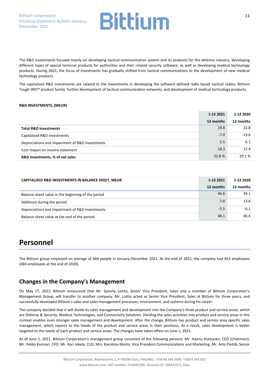The R&D investments focused mainly on developing tactical communication system and its products for the defense industry, developing different types of special terminal products for authorities and their related security software, as well as developing medical technology products. During 2021, the focus of investments has gradually shifted from tactical communications to the development of new medical technology products.

The capitalized R&D investments are related to the investments in developing the software defined radio based tactical radios, Bittium Tough SRD™ product family, further development of tactical communication networks, and development of medical technology products.

#### **R&D INVESTMENTS, (MEUR)**

|                                                 | 1-12 2021 | 1-12 2020 |
|-------------------------------------------------|-----------|-----------|
|                                                 | 12 months | 12 months |
| <b>Total R&amp;D investments</b>                | 19.8      | 22.8      |
| Capitalized R&D investments                     | $-7.0$    | $-13.6$   |
| Depreciations and impairment of R&D investments | 5.5       | 6.1       |
| Cost impact on income statement                 | 18.3      | 15.4      |
| R&D investments, % of net sales                 | 22.8%     | 29.1 %    |

| CAPITALIZED R&D INVESTMENTS IN BALANCE SHEET, MEUR | 1-12 2021 | 1-12 2020 |
|----------------------------------------------------|-----------|-----------|
|                                                    | 12 months | 12 months |
| Balance sheet value in the beginning of the period | 46.6      | 39.1      |
| Additions during the period                        | 7.0       | 13.6      |
| Depreciations and impairment of R&D investments    | $-5.5$    | $-6.1$    |
| Balance sheet value at the end of the period       | 48.1      | 46.6      |

### **Personnel**

The Bittium group employed an average of 664 people in January-December 2021. At the end of 2021, the company had 653 employees (684 employees at the end of 2020).

#### **Changes in the Company's Management**

On May 17, 2021, Bittium announced that Mr. Sammy Loitto, Senior Vice President, Sales and a member of Bittium Corporation's Management Group, will transfer to another company. Mr. Loitto acted as Senior Vice President, Sales at Bittium for three years, and successfully developed Bittium's sales and sales management processes, environment, and systems during his career.

The company decided that it will divide its sales management and development into the Company's three product and service areas, which are Defense & Security, Medical Technologies, and Connectivity Solutions. Dividing the sales activities into product and service areas in this context enables even stronger sales management and development. After the change, Bittium has product and service area specific sales management, which reports to the heads of the product and service areas in their positions. As a result, sales development is better targeted to the needs of each product and service areas. The changes have taken effect on June 1, 2021.

As of June 1, 2021, Bittium Corporation's management group consisted of the following persons: Mr. Hannu Huttunen, CEO (Chairman); Mr. Pekka Kunnari, CFO; Mr. Kari Jokela, CLO; Mrs. Karoliina Malmi, Vice President Communications and Marketing; Mr. Arto Pietilä, Senior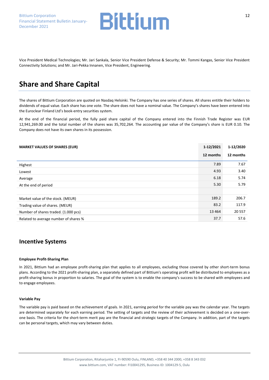Bittium Corporation Financial Statement Bulletin January-December 2021



Vice President Medical Technologies; Mr. Jari Sankala, Senior Vice President Defense & Security; Mr. Tommi Kangas, Senior Vice President Connectivity Solutions; and Mr. Jari-Pekka Innanen, Vice President, Engineering.

### **Share and Share Capital**

The shares of Bittium Corporation are quoted on Nasdaq Helsinki. The Company has one series of shares. All shares entitle their holders to dividends of equal value. Each share has one vote. The share does not have a nominal value. The Company's shares have been entered into the Euroclear Finland Ltd's book-entry securities system.

At the end of the financial period, the fully paid share capital of the Company entered into the Finnish Trade Register was EUR 12,941,269.00 and the total number of the shares was 35,702,264. The accounting par value of the Company's share is EUR 0.10. The Company does not have its own shares in its possession.

| <b>MARKET VALUES OF SHARES (EUR)</b>  | 1-12/2021 | 1-12/2020 |
|---------------------------------------|-----------|-----------|
|                                       | 12 months | 12 months |
| Highest                               | 7.89      | 7.67      |
| Lowest                                | 4.93      | 3.40      |
| Average                               | 6.18      | 5.74      |
| At the end of period                  | 5.30      | 5.79      |
|                                       |           |           |
| Market value of the stock. (MEUR)     | 189.2     | 206.7     |
| Trading value of shares. (MEUR)       | 83.2      | 117.9     |
| Number of shares traded. (1.000 pcs)  | 13 4 64   | 20 557    |
| Related to average number of shares % | 37.7      | 57.6      |

#### **Incentive Systems**

#### **Employee Profit-Sharing Plan**

In 2021, Bittium had an employee profit-sharing plan that applies to all employees, excluding those covered by other short-term bonus plans. According to the 2021 profit-sharing plan, a separately defined part of Bittium's operating profit will be distributed to employees as a profit-sharing bonus in proportion to salaries. The goal of the system is to enable the company's success to be shared with employees and to engage employees.

#### **Variable Pay**

The variable pay is paid based on the achievement of goals. In 2021, earning period for the variable pay was the calendar year. The targets are determined separately for each earning period. The setting of targets and the review of their achievement is decided on a one-overone basis. The criteria for the short-term merit pay are the financial and strategic targets of the Company. In addition, part of the targets can be personal targets, which may vary between duties.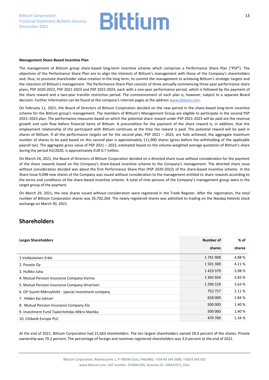#### **Management Share-Based Incentive Plan**

The management of Bittium group share-based long-term incentive scheme which comprises a Performance Share Plan ("PSP"). The objectives of the Performance Share Plan are to align the interests of Bittium's management with those of the Company's shareholders and, thus, to promote shareholder value creation in the long term, to commit the management to achieving Bittium's strategic targets and the retention of Bittium's management. The Performance Share Plan consists of three annually commencing three-year performance share plans, PSP 2020-2022, PSP 2021-2023 and PSP 2022-2024, each with a one-year performance period, which is followed by the payment of the share reward and a two-year transfer restriction period. The commencement of each plan is, however, subject to a separate Board decision. Further information can be found at the company's internet pages at the address [www.bittium.com.](http://www.bittium.com/)

On February 11, 2021, the Board of Directors of Bittium Corporation decided on the new period in the share-based long-term incentive scheme for the Bittium group's management. The members of Bittium's Management Group are eligible to participate in the second PSP 2021–2023 plan. The performance measures based on which the potential share reward under PSP 2021-2023 will be paid are the revenue growth and cash flow before financial items of Bittium. A precondition for the payment of the share reward is, in addition, that the employment relationship of the participant with Bittium continues at the time the reward is paid. The potential reward will be paid in shares of Bittium. If all the performance targets set for the second plan, PSP 2021 – 2023, are fully achieved, the aggregate maximum number of shares to be paid based on this second plan is approximately 111,900 shares (gross before the withholding of the applicable payroll tax). The aggregate gross value of PSP 2021 – 2023, estimated based on the volume-weighted average quotation of Bittium's share during the period H2/2020, is approximately EUR 0.7 million.

On March 24, 2021, the Board of Directors of Bittium Corporation decided on a directed share issue without consideration for the payment of the share rewards based on the Company's share-based incentive scheme to the Company's management. The directed share issue without consideration decided was about the first Performance Share Plan (PSP 2020-2022) of the share-based incentive scheme. In the Share Issue 9,098 new shares of the Company was issued without consideration to the management entitled to share rewards according to the terms and conditions of the share-based incentive scheme. A total of nine persons of the Company's management group were in the target group of the payment.

On March 29, 2021, the new shares issued without consideration were registered in the Trade Register. After the registration, the total number of Bittium Corporation shares was 35,702,264. The newly registered shares was admitted to trading on the Nasdaq Helsinki stock exchange on March 30, 2021.

#### **Shareholders**

| <b>Larges Shareholders</b>                           | Number of     | % of   |
|------------------------------------------------------|---------------|--------|
|                                                      | shares        | shares |
| 1. Veikkolainen Erkki                                | 1741908       | 4.88%  |
| 2. Ponato Oy                                         | 1 501 300     | 4.21%  |
| 3. Hulkko Juha                                       | 1419379       | 3.98%  |
| 4. Mutual Pension Insurance Company Varma            | 1 3 6 5 9 3 4 | 3.83%  |
| 5. Mutual Pension Insurance Company Ilmarinen        | 1 296 529     | 3.63%  |
| 6. OP-Suomi Mikroyhtiöt - special investment company | 752 757       | 2.11 % |
| 7. Hilden Kai Jalmari                                | 658 000       | 1.84 % |
| 8. Mutual Pension Insurance Company Elo              | 500 000       | 1.40 % |
| 9. Investment Fund Taaleritehdas Mikro Markka        | 500 000       | 1.40 % |
| 10. Citibank Europe PLC                              | 479 789       | 1.34 % |

At the end of 2021, Bittium Corporation had 21,663 shareholders. The ten largest shareholders owned 28.6 percent of the shares. Private ownership was 70.2 percent. The percentage of foreign and nominee-registered shareholders was 3.0 percent at the end of 2021.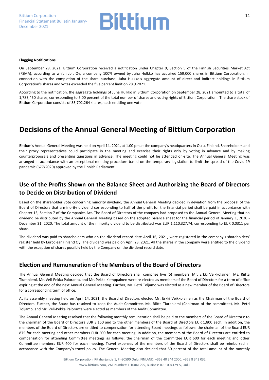

#### **Flagging Notifications**

On September 29, 2021, Bittium Corporation received a notification under Chapter 9, Section 5 of the Finnish Securities Market Act (FSMA), according to which Jbit Oy, a company 100% owned by Juha Hulkko has acquired 159,000 shares in Bittium Corporation. In connection with the completion of the share purchase, Juha Hulkko's aggregate amount of direct and indirect holdings in Bittium Corporation's shares and votes exceeded the five percent limit on 28.9.2021.

According to the notification, the aggregate holdings of Juha Hulkko in Bittium Corporation on September 28, 2021 amounted to a total of 1,783,450 shares, corresponding to 5.00 percent of the total number of shares and voting rights of Bittium Corporation. The share stock of Bittium Corporation consists of 35,702,264 shares, each entitling one vote.

### **Decisions of the Annual General Meeting of Bittium Corporation**

Bittium's Annual General Meeting was held on April 14, 2021, at 1.00 pm at the company's headquarters in Oulu, Finland. Shareholders and their proxy representatives could participate in the meeting and exercise their rights only by voting in advance and by making counterproposals and presenting questions in advance. The meeting could not be attended on-site. The Annual General Meeting was arranged in accordance with an exceptional meeting procedure based on the temporary legislation to limit the spread of the Covid-19 pandemic (677/2020) approved by the Finnish Parliament.

### **Use of the Profits Shown on the Balance Sheet and Authorizing the Board of Directors to Decide on Distribution of Dividend**

Based on the shareholder vote concerning minority dividend, the Annual General Meeting decided in deviation from the proposal of the Board of Directors that a minority dividend corresponding to half of the profit for the financial period shall be paid in accordance with Chapter 13, Section 7 of the Companies Act. The Board of Directors of the company had proposed to the Annual General Meeting that no dividend be distributed by the Annual General Meeting based on the adopted balance sheet for the financial period of January 1, 2020 - December 31, 2020. The total amount of the minority dividend to be distributed was EUR 1,110,327.74, corresponding to EUR 0.0311 per share.

The dividend was paid to shareholders who on the dividend record date April 16, 2021, were registered in the company's shareholders' register held by Euroclear Finland Oy. The dividend was paid on April 23, 2021. All the shares in the company were entitled to the dividend with the exception of shares possibly held by the Company on the dividend record date.

#### **Election and Remuneration of the Members of the Board of Directors**

The Annual General Meeting decided that the Board of Directors shall comprise five (5) members. Mr. Erkki Veikkolainen, Ms. Riitta Tiuraniemi, Mr. Veli-Pekka Paloranta, and Mr. Pekka Kemppainen were re-elected as members of the Board of Directors for a term of office expiring at the end of the next Annual General Meeting. Further, Mr. Petri Toljamo was elected as a new member of the Board of Directors for a corresponding term of office.

At its assembly meeting held on April 14, 2021, the Board of Directors elected Mr. Erkki Veikkolainen as the Chairman of the Board of Directors. Further, the Board has resolved to keep the Audit Committee. Ms. Riitta Tiuraniemi (Chairman of the committee), Mr. Petri Toljamo, and Mr. Veli-Pekka Paloranta were elected as members of the Audit Committee.

The Annual General Meeting resolved that the following monthly remuneration shall be paid to the members of the Board of Directors: to the chairman of the Board of Directors EUR 3,150 and to the other members of the Board of Directors EUR 1,800 each. In addition, the members of the Board of Directors are entitled to compensation for attending Board meetings as follows: the chairman of the Board EUR 875 for each meeting and other members EUR 500 for each meeting. In addition, the members of the Board of Directors are entitled to compensation for attending Committee meetings as follows: the chairman of the Committee EUR 600 for each meeting and other Committee members EUR 400 for each meeting. Travel expenses of the members of the Board of Directors shall be reimbursed in accordance with the Company's travel policy. The General Meeting also decided that 50 percent of the total amount of the monthly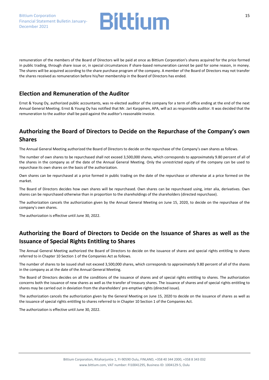

remuneration of the members of the Board of Directors will be paid at once as Bittium Corporation's shares acquired for the price formed in public trading, through share issue or, in special circumstances if share-based remuneration cannot be paid for some reason, in money. The shares will be acquired according to the share purchase program of the company. A member of the Board of Directors may not transfer the shares received as remuneration before his/her membership in the Board of Directors has ended.

#### **Election and Remuneration of the Auditor**

Ernst & Young Oy, authorized public accountants, was re-elected auditor of the company for a term of office ending at the end of the next Annual General Meeting. Ernst & Young Oy has notified that Mr. Jari Karppinen, APA, will act as responsible auditor. It was decided that the remuneration to the auditor shall be paid against the auditor's reasonable invoice.

### **Authorizing the Board of Directors to Decide on the Repurchase of the Company's own Shares**

The Annual General Meeting authorized the Board of Directors to decide on the repurchase of the Company's own shares as follows.

The number of own shares to be repurchased shall not exceed 3,500,000 shares, which corresponds to approximately 9.80 percent of all of the shares in the company as of the date of the Annual General Meeting. Only the unrestricted equity of the company can be used to repurchase its own shares on the basis of the authorization.

Own shares can be repurchased at a price formed in public trading on the date of the repurchase or otherwise at a price formed on the market.

The Board of Directors decides how own shares will be repurchased. Own shares can be repurchased using, inter alia, derivatives. Own shares can be repurchased otherwise than in proportion to the shareholdings of the shareholders (directed repurchase).

The authorization cancels the authorization given by the Annual General Meeting on June 15, 2020, to decide on the repurchase of the company's own shares.

The authorization is effective until June 30, 2022.

### **Authorizing the Board of Directors to Decide on the Issuance of Shares as well as the Issuance of Special Rights Entitling to Shares**

The Annual General Meeting authorized the Board of Directors to decide on the issuance of shares and special rights entitling to shares referred to in Chapter 10 Section 1 of the Companies Act as follows.

The number of shares to be issued shall not exceed 3,500,000 shares, which corresponds to approximately 9.80 percent of all of the shares in the company as at the date of the Annual General Meeting.

The Board of Directors decides on all the conditions of the issuance of shares and of special rights entitling to shares. The authorization concerns both the issuance of new shares as well as the transfer of treasury shares. The issuance of shares and of special rights entitling to shares may be carried out in deviation from the shareholders' pre-emptive rights (directed issue).

The authorization cancels the authorization given by the General Meeting on June 15, 2020 to decide on the issuance of shares as well as the issuance of special rights entitling to shares referred to in Chapter 10 Section 1 of the Companies Act.

The authorization is effective until June 30, 2022.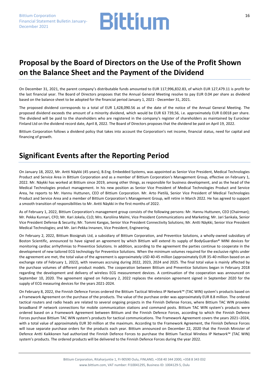### **Proposal by the Board of Directors on the Use of the Profit Shown on the Balance Sheet and the Payment of the Dividend**

On December 31, 2021, the parent company's distributable funds amounted to EUR 117,996,832.83, of which EUR 127,479.11 is profit for the last financial year. The Board of Directors proposes that the Annual General Meeting resolve to pay EUR 0.04 per share as dividend based on the balance sheet to be adopted for the financial period January 1, 2021 - December 31, 2021.

The proposed dividend corresponds to a total of EUR 1,428,090.56 as of the date of the notice of the Annual General Meeting. The proposed dividend exceeds the amount of a minority dividend, which would be EUR 63 739,56, i.e. approximately EUR 0.0018 per share. The dividend will be paid to the shareholders who are registered in the company's register of shareholders as maintained by Euroclear Finland Ltd on the dividend record date, April 8, 2022. The Board of Directors proposes that the dividend be paid on April 19, 2022.

Bittium Corporation follows a dividend policy that takes into account the Corporation's net income, financial status, need for capital and financing of growth.

### **Significant Events after the Reporting Period**

On January 18, 2022, Mr. Antti Näykki (45 years), B.Eng. Embedded Systems, was appointed as Senior Vice President, Medical Technologies Product and Service Area in Bittium Corporation and as a member of Bittium Corporation's Management Group, effective on February 1, 2022. Mr. Näykki has worked at Bittium since 2019, among other things, as responsible for business development, and as the head of the Medical Technologies product management. In his new position as Senior Vice President of Medical Technologies Product and Service Area, he reports to Mr. Hannu Huttunen, CEO of Bittium Corporation. Mr. Arto Pietilä, Senior Vice President of Medical Technologies Product and Service Area and a member of Bittium Corporation's Management Group, will retire in March 2022. He has agreed to support a smooth transition of responsibilities to Mr. Antti Näykki in the first months of 2022.

As of February 1, 2022, Bittium Corporation's management group consists of the following persons: Mr. Hannu Huttunen, CEO (Chairman); Mr. Pekka Kunnari, CFO; Mr. Kari Jokela, CLO; Mrs. Karoliina Malmi, Vice President Communications and Marketing; Mr. Jari Sankala, Senior Vice President Defense & Security; Mr. Tommi Kangas, Senior Vice President Connectivity Solutions; Mr. Antti Näykki, Senior Vice President Medical Technologies; and Mr. Jari-Pekka Innanen, Vice President, Engineering.

On February 2, 2022, Bittium Biosignals Ltd, a subsidiary of Bittium Corporation, and Preventice Solutions, a wholly-owned subsidiary of Boston Scientific, announced to have signed an agreement by which Bittium will extend its supply of BodyGuardian® MINI devices for monitoring cardiac arrhythmias to Preventice Solutions. In addition, according to the agreement the parties continue to cooperate in the development of new tailored ECG technology for Preventice Solutions. When the minimum volumes required for the exclusive rights under the agreement are met, the total value of the agreement is approximately USD 40-45 million (approximately EUR 35-40 million based on an exchange rate of February 1, 2022), with revenues accruing during 2022, 2023, 2024 and 2025. The final total value is mainly affected by the purchase volumes of different product models. The cooperation between Bittium and Preventice Solutions began in February 2018 regarding the development and delivery of wireless ECG measurement devices. A continuation of the cooperation was announced on September 10, 2020. The agreement signed on February 2, 2022 replaces the extension agreement signed in September 2020 for the supply of ECG measuring devices for the years 2021-2024.

On February 8, 2022, the Finnish Defence Forces ordered the Bittium Tactical Wireless IP Network™ (TAC WIN) system's products based on a Framework Agreement on the purchase of the products. The value of the purchase order was approximately EUR 8.8 million. The ordered tactical routers and radio heads are related to several ongoing projects in the Finnish Defense Forces, where Bittium TAC WIN provides broadband IP network connections for mobile communication stations and command posts. Bittium TAC WIN system's products were ordered based on a Framework Agreement between Bittium and the Finnish Defence Forces, according to which the Finnish Defence Forces purchase Bittium TAC WIN system's products for tactical communications. The Framework Agreement covers the years 2021–2024, with a total value of approximately EUR 30 million at the maximum. According to the Framework Agreement, the Finnish Defence Forces will issue separate purchase orders for the products each year. Bittium announced on December 22, 2020 that the Finnish Minister of Defence Antti Kaikkonen had authorized the Finnish Defence Forces to purchase the Bittium Tactical Wireless IP Network™ (TAC WIN) system's products. The ordered products will be delivered to the Finnish Defence Forces during the year 2022.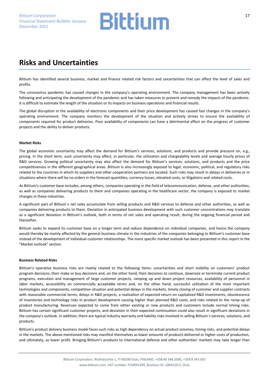### **Risks and Uncertainties**

Bittium has identified several business, market and finance related risk factors and uncertainties that can affect the level of sales and profits.

The coronavirus pandemic has caused changes in the company's operating environment. The company management has been actively following and anticipating the development of the pandemic and has taken measures to prevent and remedy the impacts of the pandemic. It is difficult to estimate the length of the situation or its impacts on business operations and financial results.

The global disruption in the availability of electronic components and their price development has caused fast changes in the company's operating environment. The company monitors the development of the situation and actively strives to ensure the availability of components required for product deliveries. Poor availability of components can have a detrimental effect on the progress of customer projects and the ability to deliver products.

#### **Market Risks**

The global economic uncertainty may affect the demand for Bittium's services, solutions, and products and provide pressure on, e.g., pricing. In the short term, such uncertainty may affect, in particular, the utilization and chargeability levels and average hourly prices of R&D services. Growing political uncertainty may also affect the demand for Bittium's services, solutions, and products and the price competitiveness in the different geographical areas. Bittium is also increasingly exposed to legal, economic, political, and regulatory risks related to the countries in which its suppliers and other cooperation partners are located. Such risks may result in delays in deliveries or in situations where there will be no orders in the forecast quantities, currency losses, elevated costs, or litigations and related costs.

As Bittium's customer base includes, among others, companies operating in the field of telecommunication, defense, and other authorities, as well as companies delivering products to them and companies operating in the healthcare sector, the company is exposed to market changes in these industries.

A significant part of Bittium´s net sales accumulate from selling products and R&D services to defense and other authorities, as well as companies delivering products to them. Deviation in anticipated business development with such customer concentrations may translate as a significant deviation in Bittium's outlook, both in terms of net sales and operating result, during the ongoing financial period and thereafter.

Bittium seeks to expand its customer base on a longer term and reduce dependence on individual companies, and hence the company would thereby be mainly affected by the general business climate in the industries of the companies belonging to Bittium's customer base instead of the development of individual customer relationships. The more specific market outlook has been presented in this report in the "Market outlook" section.

#### **Business Related Risks**

Bittium's operative business risks are mainly related to the following items: uncertainties and short visibility on customers' product program decisions, their make or buy decisions and, on the other hand, their decisions to continue, downsize or terminate current product programs, execution and management of large customer projects, ramping up and down project resources, availability of personnel in labor markets, accessibility on commercially acceptable terms and, on the other hand, successful utilization of the most important technologies and components, competitive situation and potential delays in the markets, timely closing of customer and supplier contracts with reasonable commercial terms, delays in R&D projects, a realization of expected return on capitalized R&D investments, obsolescence of inventories and technology risks in product development causing higher than planned R&D costs, and risks related to the ramp-up of product manufacturing. Revenues expected to come from either existing or new products and customers include normal timing risks. Bittium has certain significant customer projects, and deviation in their expected continuation could also result in significant deviations in the company's outlook. In addition, there are typical industry warranty and liability risks involved in selling Bittium´s services, solutions, and products.

Bittium's product delivery business model faces such risks as high dependency on actual product volumes, timing risks, and potential delays in the markets. The above-mentioned risks may manifest themselves as lower amounts of products delivered or higher costs of production, and ultimately, as lower profit. Bringing Bittium's products to international defense and other authorities' markets may take longer than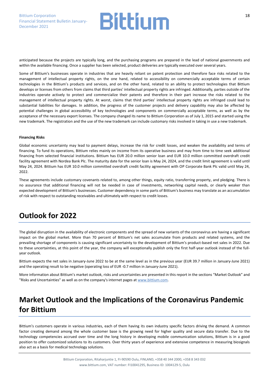anticipated because the projects are typically long, and the purchasing programs are prepared in the lead of national governments and within the available financing. Once a supplier has been selected, product deliveries are typically executed over several years.

Some of Bittium's businesses operate in industries that are heavily reliant on patent protection and therefore face risks related to the management of intellectual property rights, on the one hand, related to accessibility on commercially acceptable terms of certain technologies in the Bittium's products and services, and on the other hand, related to an ability to protect technologies that Bittium develops or licenses from others from claims that third parties' intellectual property rights are infringed. Additionally, parties outside of the industries operate actively to protect and commercialize their patents and therefore in their part increase the risks related to the management of intellectual property rights. At worst, claims that third parties' intellectual property rights are infringed could lead to substantial liabilities for damages. In addition, the progress of the customer projects and delivery capability may also be affected by potential challenges in global accessibility of key technologies and components on commercially acceptable terms, as well as by the acceptance of the necessary export licenses. The company changed its name to Bittium Corporation as of July 1, 2015 and started using the new trademark. The registration and the use of the new trademark can include customary risks involved in taking in use a new trademark.

#### **Financing Risks**

Global economic uncertainty may lead to payment delays, increase the risk for credit losses, and weaken the availability and terms of financing. To fund its operations, Bittium relies mainly on income from its operative business and may from time to time seek additional financing from selected financial institutions. Bittium has EUR 20.0 million senior loan and EUR 10.0 million committed overdraft credit facility agreement with Nordea Bank Plc. The maturity date for the senior loan is May 24, 2024, and the credit limit agreement is valid until May 24, 2024. Bittium has EUR 10.0 million committed overdraft credit facility agreement with OP Corporate Bank Plc valid until May 24, 2022.

These agreements include customary covenants related to, among other things, equity ratio, transferring property, and pledging. There is no assurance that additional financing will not be needed in case of investments, networking capital needs, or clearly weaker than expected development of Bittium's businesses. Customer dependency in some parts of Bittium's business may translate as an accumulation of risk with respect to outstanding receivables and ultimately with respect to credit losses.

### **Outlook for 2022**

The global disruption in the availability of electronic components and the spread of new variants of the coronavirus are having a significant impact on the global market. More than 70 percent of Bittium's net sales accumulate from products and related systems, and the prevailing shortage of components is causing significant uncertainty to the development of Bittium's product-based net sales in 2022. Due to these uncertainties, at this point of the year, the company will exceptionally publish only the first half-year outlook instead of the fullyear outlook.

Bittium expects the net sales in January-June 2022 to be at the same level as in the previous year (EUR 39.7 million in January-June 2021) and the operating result to be negative (operating loss of EUR -0.7 million in January-June 2021).

More information about Bittium's market outlook, risks and uncertainties are presented in this report in the sections "Market Outlook" and "Risks and Uncertainties" as well as on the company's internet pages at [www.bittium.com.](http://www.bittium.com/) 

### **Market Outlook and the Implications of the Coronavirus Pandemic for Bittium**

Bittium's customers operate in various industries, each of them having its own industry specific factors driving the demand. A common factor creating demand among the whole customer base is the growing need for higher quality and secure data transfer. Due to the technology competencies accrued over time and the long history in developing mobile communication solutions, Bittium is in a good position to offer customized solutions to its customers. Over thirty years of experience and extensive competence in measuring biosignals also act as a basis for medical technology solutions.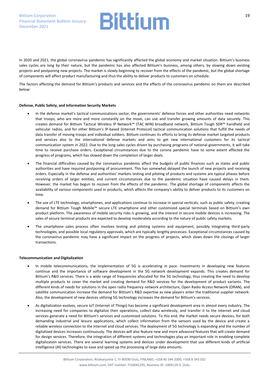In 2020 and 2021, the global coronavirus pandemic has significantly affected the global economy and market situation. Bittium's business sales cycles are long by their nature, but the pandemic has also affected Bittium's business, among others, by slowing down existing projects and postponing new projects. The market is slowly beginning to recover from the effects of the pandemic, but the global shortage of components will affect product manufacturing and thus the ability to deliver products to customers on schedule.

The factors affecting the demand for Bittium's products and services and the effects of the coronavirus pandemic on them are described below:

#### **Defense, Public Safety, and Information Security Markets**

- In the defense market's tactical communications sector, the governments' defense forces and other authorities need networks that troops, who are more and more constantly on the move, can use and transfer growing amounts of data securely. This creates demand for Bittium Tactical Wireless IP Network™ (TAC WIN) broadband network, Bittium Tough SDR™ handheld and vehicular radios, and for other Bittium's IP-based (Internet Protocol) tactical communication solutions that fulfill the needs of data transfer of moving troops and individual soldiers. Bittium continues its efforts to bring its defense market targeted products and services also to the international defense markets and aims to get new international customers for its tactical communication system in 2022. Due to the long sales cycles driven by purchasing programs of national governments, it will take time to receive purchase orders. Exceptional circumstances due to the corona pandemic have to some extent affected the progress of programs, which has slowed down the completion of larger deals.
- The financial difficulties caused by the coronavirus pandemic affect the budgets of public finances such as states and public authorities and have required postponing of procurement. This has somewhat delayed the launch of new projects and receiving orders. Especially in the defense and authorities' markets testing and piloting of products and systems are typical phases before receiving orders of larger entities, and current circumstances due to the pandemic situation have caused delays in them. However, the market has begun to recover from the effects of the pandemic. The global shortage of components affects the availability of various components used in products, which affects the company's ability to deliver products to its customers on time.
- The use of LTE technology, smartphones, and applications continue to increase in special verticals, such as public safety, creating demand for Bittium Tough Mobile™ secure LTE smartphone and other customized special terminals based on Bittium's own product platform. The awareness of mobile security risks is growing, and the interest in secure mobile devices is increasing. The sales of secure terminal products are expected to develop moderately according to the nature of public safety markets.
- The smartphone sales process often involves testing and piloting systems and equipment, possibly integrating third-party technologies, and possible local regulatory approvals, which are typically lengthy processes. Exceptional circumstances caused by the coronavirus pandemic may have a significant impact on the progress of projects, which slows down the closings of larger transactions.

#### **Telecommunication and Digitalization**

- In mobile telecommunications, the implementation of 5G is accelerating in pace. Investments in developing new features continue and the importance of software development in the 5G network development expands. This creates demand for Bittium's R&D services. There is a wide range of frequencies allocated for the 5G technology, thus creating the need to develop multiple products to cover the market and creating demand for R&D services for the development of product variants. The different kinds of needs for solutions in the open radio frequency network architecture, Open Radio Access Network (ORAN), and satellite communication increase the demand for Bittium's R&D expertise as new players enter the traditional supplier network. Also, the development of new devices utilizing 5G technology increases the demand for Bittium's services.
- As digitalization evolves, secure IoT (Internet of Things) has become a significant development area in almost every industry. The increasing need for companies to digitalize their operations, collect data wirelessly, and transfer it to the internet and cloud services generate a need for Bittium's services and customized solutions. To this end, the market needs secure devices, for both demanding industrial and leisure applications, which collect information from the sensors used by the device and create a reliable wireless connection to the Internet and cloud services. The deployment of 5G technology is expanding and the number of digitalized devices increases continuously. The devices will also feature new and more advanced features that will create demand for design services. Therefore, the integration of different systems and technologies play an important role in enabling complete digitalization services. There are several learning systems and devices under development that use different kinds of artificial intelligence (AI) technologies to ease and speed up the processing of large data amounts.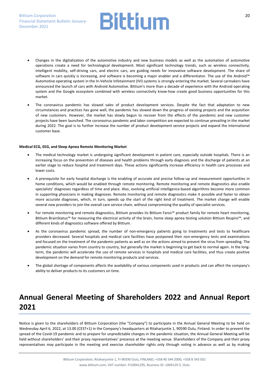- Changes in the digitalization of the automotive industry and new business models as well as the automation of automotive operations create a need for technological development. Most significant technology trends, such as wireless connectivity, intelligent mobility, self-driving cars, and electric cars, are guiding needs for innovative software development. The share of software in cars quickly is increasing, and software is becoming a major enabler and a differentiator. The use of the Android™ Automotive operating system in the In-Vehicle Infotainment (IVI) systems is strongly entering the market. Several carmakers have announced the launch of cars with Android Automotive. Bittium's more than a decade of experience with the Android operating system and the Google ecosystem combined with wireless connectivity know-how create good business opportunities for this market.
- The coronavirus pandemic has slowed sales of product development services. Despite the fact that adaptation to new circumstances and practices has gone well, the pandemic has slowed down the progress of existing projects and the acquisition of new customers. However, the market has slowly begun to recover from the effects of the pandemic and new customer projects have been launched. The coronavirus pandemic and labor competition are expected to continue prevailing in the market during 2022. The goal is to further increase the number of product development service projects and expand the international customer base.

#### **Medical ECG, EEG, and Sleep Apnea Remote Monitoring Market**

- The medical technology market is undergoing significant development in patient care, especially outside hospitals. There is an increasing focus on the prevention of diseases and health problems through early diagnosis and the discharge of patients at an earlier stage to reduce hospital and treatment days. These actions significantly increase efficiency in health care processes and lower costs.
- A prerequisite for early hospital discharge is the enabling of accurate and precise follow-up and measurement opportunities in home conditions, which would be enabled through remote monitoring. Remote monitoring and remote diagnostics also enable specialists' diagnoses regardless of time and place. Also, evolving artificial intelligence-based algorithms become more common in supporting physicians in making diagnoses. Remote monitoring and remote diagnostics make it possible and faster to obtain more accurate diagnoses, which, in turn, speeds up the start of the right kind of treatment. The market change will enable several new providers to join the overall care service chain, without compromising the quality of specialist services.
- For remote monitoring and remote diagnostics, Bittium provides its Bittium Faros™ product family for remote heart monitoring, Bittium BrainStatus™ for measuring the electrical activity of the brain, home sleep apnea testing solution Bittium Respiro™, and different kinds of diagnostics software offered by Bittium.
- As the coronavirus pandemic spread, the number of non-emergency patients going to treatments and tests to healthcare providers decreased. Several hospitals and medical care facilities have postponed their non-emergency tests and examinations and focused on the treatment of the pandemic patients as well as on the actions aimed to prevent the virus from spreading. The pandemic situation varies from country to country, but generally the market is beginning to get back to normal again. In the longterm, the pandemic will accelerate the use of remote services in hospitals and medical care facilities, and thus create positive development on the demand for remote monitoring products and services.
- The global shortage of components affects the availability of various components used in products and can affect the company's ability to deliver products to its customers on time.

### **Annual General Meeting of Shareholders 2022 and Annual Report 2021**

Notice is given to the shareholders of Bittium Corporation (the "Company") to participate in the Annual General Meeting to be held on Wednesday April 6, 2022, at 13.00 (CEST+1) in the Company's headquarters at Ritaharjuntie 1, 90590 Oulu, Finland. In order to prevent the spread of the Covid-19 pandemic and to prepare for unpredictable changes in the pandemic situation, the Annual General Meeting will be held without shareholders' and their proxy representatives' presence at the meeting venue. Shareholders of the Company and their proxy representatives may participate in the meeting and exercise shareholder rights only through voting in advance as well as by making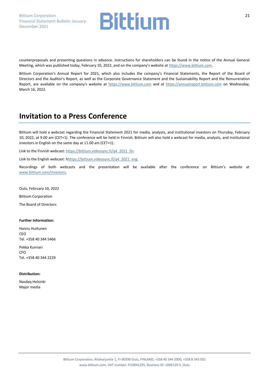

counterproposals and presenting questions in advance. Instructions for shareholders can be found in the notice of the Annual General Meeting, which was published today, February 10, 2022, and on the company's website at [https://www.bittium.com.](https://www.bittium.com/)

Bittium Corporation's Annual Report for 2021, which also includes the company's Financial Statements, the Report of the Board of Directors and the Auditor's Report, as well as the Corporate Governance Statement and the Sustainability Report and the Remuneration Report, are available on the company's website at [https://www.bittium.com](https://www.bittium.com/) and at [https://annualreport.bittium.com](https://annualreport.bittium.com/) on Wednesday, March 16, 2022.

### **Invitation to a Press Conference**

Bittium will hold a webcast regarding the Financial Statement 2021 for media, analysts, and institutional investors on Thursday, February 10, 2022, at 9.00 am (CET+1). The conference will be held in Finnish. Bittium will also hold a webcast for media, analysts, and institutional investors in English on the same day at 11.00 am (CET+1).

Link to the Finnish webcast: [https://bittium.videosync.fi/q4\\_2021\\_fin](https://bittium.videosync.fi/q4_2021_fin)

Link to the English webcast: [hhttps://bittium.videosync.fi/q4\\_2021\\_eng](https://bittium.videosync.fi/q4_2021_eng)

Recordings of both webcasts and the presentation will be available after the conference on Bittium's website at [www.bittium.com/investors.](http://www.bittium.com/investors) 

Oulu, February 10, 2022

Bittium Corporation

The Board of Directors

#### **Further Information:**

Hannu Huttunen CEO Tel. +358 40 344 5466

Pekka Kunnari CFO Tel. +358 40 344 2229

#### **Distribution:**

Nasdaq Helsinki Major media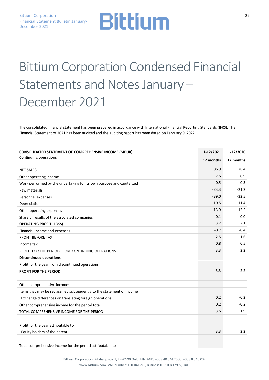## Bittium Corporation Condensed Financial Statements and Notes January – December 2021

The consolidated financial statement has been prepared in accordance with International Financial Reporting Standards (IFRS). The Financial Statement of 2021 has been audited and the auditing report has been dated on February 9, 2022.

| <b>CONSOLIDATED STATEMENT OF COMPREHENSIVE INCOME (MEUR)</b>           | 1-12/2021 | 1-12/2020 |
|------------------------------------------------------------------------|-----------|-----------|
| <b>Continuing operations</b>                                           | 12 months | 12 months |
| <b>NET SALES</b>                                                       | 86.9      | 78.4      |
| Other operating income                                                 | 2.6       | 0.9       |
| Work performed by the undertaking for its own purpose and capitalized  | 0.5       | 0.3       |
| Raw materials                                                          | $-23.3$   | $-21.2$   |
| Personnel expenses                                                     | $-39.0$   | $-32.5$   |
| Depreciation                                                           | $-10.5$   | $-11.4$   |
| Other operating expenses                                               | $-13.9$   | $-12.5$   |
| Share of results of the associated companies                           | $-0.1$    | 0.0       |
| <b>OPERATING PROFIT (LOSS)</b>                                         | 3.2       | 2.1       |
| Financial income and expenses                                          | $-0.7$    | $-0.4$    |
| PROFIT BEFORE TAX                                                      | 2.5       | 1.6       |
| Income tax                                                             | 0.8       | 0.5       |
| PROFIT FOR THE PERIOD FROM CONTINUING OPERATIONS                       | 3.3       | 2.2       |
| <b>Discontinued operations</b>                                         |           |           |
| Profit for the year from discontinued operations                       |           |           |
| PROFIT FOR THE PERIOD                                                  | 3.3       | 2.2       |
|                                                                        |           |           |
| Other comprehensive income:                                            |           |           |
| Items that may be reclassified subsequently to the statement of income |           |           |
| Exchange differences on translating foreign operations                 | 0.2       | $-0.2$    |
| Other comprehensive income for the period total                        | 0.2       | $-0.2$    |
| TOTAL COMPREHENSIVE INCOME FOR THE PERIOD                              | 3.6       | 1.9       |
| Profit for the year attributable to                                    |           |           |
| Equity holders of the parent                                           | 3.3       | 2.2       |
| Total comprehensive income for the period attributable to              |           |           |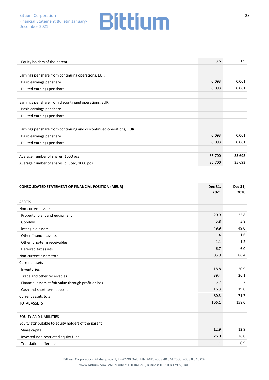| Equity holders of the parent                                        | 3.6    | 1.9    |
|---------------------------------------------------------------------|--------|--------|
|                                                                     |        |        |
| Earnings per share from continuing operations, EUR                  |        |        |
| Basic earnings per share                                            | 0.093  | 0.061  |
| Diluted earnings per share                                          | 0.093  | 0.061  |
|                                                                     |        |        |
| Earnings per share from discontinued operations, EUR                |        |        |
| Basic earnings per share                                            |        |        |
| Diluted earnings per share                                          |        |        |
|                                                                     |        |        |
| Earnings per share from continuing and discontinued operations, EUR |        |        |
| Basic earnings per share                                            | 0.093  | 0.061  |
| Diluted earnings per share                                          | 0.093  | 0.061  |
|                                                                     |        |        |
| Average number of shares, 1000 pcs                                  | 35 700 | 35 693 |
| Average number of shares, diluted, 1000 pcs                         | 35 700 | 35 693 |

| <b>CONSOLIDATED STATEMENT OF FINANCIAL POSITION (MEUR)</b> | Dec 31,<br>2021 | Dec 31,<br>2020 |
|------------------------------------------------------------|-----------------|-----------------|
| <b>ASSETS</b>                                              |                 |                 |
| Non-current assets                                         |                 |                 |
| Property, plant and equipment                              | 20.9            | 22.8            |
| Goodwill                                                   | 5.8             | 5.8             |
| Intangible assets                                          | 49.9            | 49.0            |
| Other financial assets                                     | 1.4             | 1.6             |
| Other long-term receivables                                | 1.1             | 1.2             |
| Deferred tax assets                                        | 6.7             | 6.0             |
| Non-current assets total                                   | 85.9            | 86.4            |
| Current assets                                             |                 |                 |
| Inventories                                                | 18.8            | 20.9            |
| Trade and other receivables                                | 39.4            | 26.1            |
| Financial assets at fair value through profit or loss      | 5.7             | 5.7             |
| Cash and short term deposits                               | 16.3            | 19.0            |
| Current assets total                                       | 80.3            | 71.7            |
| <b>TOTAL ASSETS</b>                                        | 166.1           | 158.0           |
|                                                            |                 |                 |
| <b>EQUITY AND LIABILITIES</b>                              |                 |                 |
| Equity attributable to equity holders of the parent        |                 |                 |
| Share capital                                              | 12.9            | 12.9            |
| Invested non-restricted equity fund                        | 26.0            | 26.0            |
| <b>Translation difference</b>                              | 1.1             | 0.9             |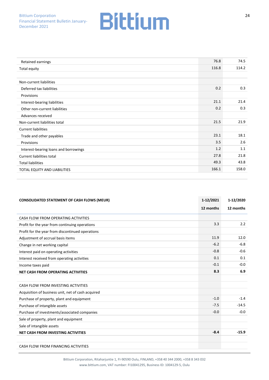| Retained earnings                     | 76.8  | 74.5  |
|---------------------------------------|-------|-------|
| Total equity                          | 116.8 | 114.2 |
|                                       |       |       |
| Non-current liabilities               |       |       |
| Deferred tax liabilities              | 0.2   | 0.3   |
| Provisions                            |       |       |
| Interest-bearing liabilities          | 21.1  | 21.4  |
| Other non-current liabilities         | 0.2   | 0.3   |
| Advances received                     |       |       |
| Non-current liabilities total         | 21.5  | 21.9  |
| <b>Current liabilities</b>            |       |       |
| Trade and other payables              | 23.1  | 18.1  |
| Provisions                            | 3.5   | 2.6   |
| Interest-bearing loans and borrowings | 1.2   | 1.1   |
| Current liabilities total             | 27.8  | 21.8  |
| <b>Total liabilities</b>              | 49.3  | 43.8  |
| TOTAL EQUITY AND LIABILITIES          | 166.1 | 158.0 |

| <b>CONSOLIDATED STATEMENT OF CASH FLOWS (MEUR)</b> | 1-12/2021 | 1-12/2020 |
|----------------------------------------------------|-----------|-----------|
|                                                    | 12 months | 12 months |
| CASH FLOW FROM OPERATING ACTIVITIES                |           |           |
| Profit for the year from continuing operations     | 3.3       | 2.2       |
| Profit for the year from discontinued operations   |           |           |
| Adjustment of accrual basis items                  | 11.9      | 12.0      |
| Change in net working capital                      | $-6.2$    | $-6.8$    |
| Interest paid on operating activities              | $-0.8$    | $-0.6$    |
| Interest received from operating activities        | 0.1       | 0.1       |
| Income taxes paid                                  | $-0.1$    | $-0.0$    |
| <b>NET CASH FROM OPERATING ACTIVITIES</b>          | 8.3       | 6.9       |
|                                                    |           |           |
| CASH FLOW FROM INVESTING ACTIVITIES                |           |           |
| Acquisition of business unit, net of cash acquired |           |           |
| Purchase of property, plant and equipment          | $-1.0$    | $-1.4$    |
| Purchase of intangible assets                      | $-7.5$    | $-14.5$   |
| Purchase of investments/associated companies       | $-0.0$    | $-0.0$    |
| Sale of property, plant and equipment              |           |           |
| Sale of intangible assets                          |           |           |
| <b>NET CASH FROM INVESTING ACTIVITIES</b>          | $-8.4$    | $-15.9$   |
|                                                    |           |           |
| CASH FLOW FROM FINANCING ACTIVITIES                |           |           |

Bittium Corporation, Ritaharjuntie 1, FI-90590 Oulu, FINLAND, +358 40 344 2000, +358 8 343 032 www.bittium.com, VAT number: FI10041295, Business ID: 1004129-5, Oulu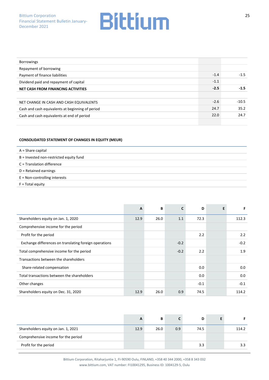| <b>Borrowings</b>                                |        |         |
|--------------------------------------------------|--------|---------|
| Repayment of borrowing                           |        |         |
| Payment of finance liabilities                   | $-1.4$ | $-1.5$  |
| Dividend paid and repayment of capital           | $-1.1$ |         |
| NET CASH FROM FINANCING ACTIVITIES               | $-2.5$ | $-1.5$  |
|                                                  |        |         |
| NET CHANGE IN CASH AND CASH EQUIVALENTS          | $-2.6$ | $-10.5$ |
| Cash and cash equivalents at beginning of period | 24.7   | 35.2    |
| Cash and cash equivalents at end of period       | 22.0   | 24.7    |
|                                                  |        |         |

#### **CONSOLIDATED STATEMENT OF CHANGES IN EQUITY (MEUR)**

| $A =$ Share capital                     |
|-----------------------------------------|
| B = Invested non-restricted equity fund |
| C = Translation difference              |
| $D = Retained$ earnings                 |
| $E = Non-controlling$ interests         |
| $F = Total$ equity                      |

|                                                        | A    | В    | C      | D      | E | F      |
|--------------------------------------------------------|------|------|--------|--------|---|--------|
| Shareholders equity on Jan. 1, 2020                    | 12.9 | 26.0 | 1.1    | 72.3   |   | 112.3  |
| Comprehensive income for the period                    |      |      |        |        |   |        |
| Profit for the period                                  |      |      |        | 2.2    |   | 2.2    |
| Exchange differences on translating foreign operations |      |      | $-0.2$ |        |   | $-0.2$ |
| Total comprehensive income for the period              |      |      | $-0.2$ | 2.2    |   | 1.9    |
| Transactions between the shareholders                  |      |      |        |        |   |        |
| Share-related compensation                             |      |      |        | 0.0    |   | 0.0    |
| Total transactions between the shareholders            |      |      |        | 0.0    |   | 0.0    |
| Other changes                                          |      |      |        | $-0.1$ |   | $-0.1$ |
| Shareholders equity on Dec. 31, 2020                   | 12.9 | 26.0 | 0.9    | 74.5   |   | 114.2  |

|                                     | A    | в    |     | D    |       |
|-------------------------------------|------|------|-----|------|-------|
| Shareholders equity on Jan. 1, 2021 | 12.9 | 26.0 | 0.9 | 74.5 | 114.2 |
| Comprehensive income for the period |      |      |     |      |       |
| Profit for the period               |      |      |     | 3.3  | 3.3   |

25

Bittium Corporation, Ritaharjuntie 1, FI-90590 Oulu, FINLAND, +358 40 344 2000, +358 8 343 032 www.bittium.com, VAT number: FI10041295, Business ID: 1004129-5, Oulu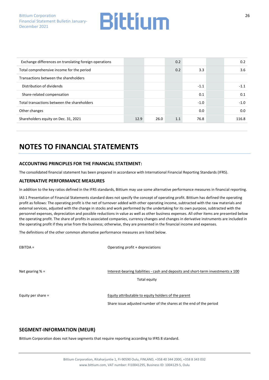| Exchange differences on translating foreign operations |      |      | 0.2 |        | 0.2    |
|--------------------------------------------------------|------|------|-----|--------|--------|
| Total comprehensive income for the period              |      |      | 0.2 | 3.3    | 3.6    |
| Transactions between the shareholders                  |      |      |     |        |        |
| Distribution of dividends                              |      |      |     | $-1.1$ | $-1.1$ |
| Share-related compensation                             |      |      |     | 0.1    | 0.1    |
| Total transactions between the shareholders            |      |      |     | $-1.0$ | $-1.0$ |
| Other changes                                          |      |      |     | 0.0    | 0.0    |
| Shareholders equity on Dec. 31, 2021                   | 12.9 | 26.0 | 1.1 | 76.8   | 116.8  |

### **NOTES TO FINANCIAL STATEMENTS**

#### **ACCOUNTING PRINCIPLES FOR THE FINANCIAL STATEMENT:**

The consolidated financial statement has been prepared in accordance with International Financial Reporting Standards (IFRS).

#### **ALTERNATIVE PERFORMANCE MEASURES**

In addition to the key ratios defined in the IFRS standards, Bittium may use some alternative performance measures in financial reporting.

IAS 1 Presentation of Financial Statements standard does not specify the concept of operating profit. Bittium has defined the operating profit as follows: The operating profit is the net of turnover added with other operating income, subtracted with the raw materials and external services, adjusted with the change in stocks and work performed by the undertaking for its own purpose, subtracted with the personnel expenses, depreciation and possible reductions in value as well as other business expenses. All other items are presented below the operating profit. The share of profits in associated companies, currency changes and changes in derivative instruments are included in the operating profit if they arise from the business; otherwise, they are presented in the financial income and expenses.

The definitions of the other common alternative performance measures are listed below.

EBITDA = CONSERVATION = Operating profit + depreciations

Net gearing % = Interest-bearing liabilities - cash and deposits and short-term investments x 100

Total equity

Equity per share = The Equity attributable to equity holders of the parent

Share issue adjusted number of the shares at the end of the period

#### **SEGMENT-INFORMATION (MEUR)**

Bittium Corporation does not have segments that require reporting according to IFRS 8 standard.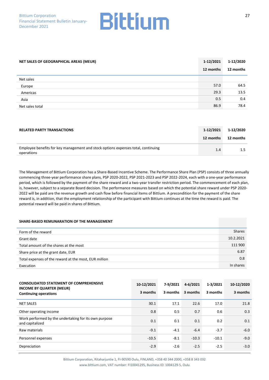

| NET SALES OF GEOGRAPHICAL AREAS (MEUR) | 1-12/2021 | 1-12/2020 |
|----------------------------------------|-----------|-----------|
|                                        | 12 months | 12 months |
| Net sales                              |           |           |
| Europe                                 | 57.0      | 64.5      |
| Americas                               | 29.3      | 13.5      |
| Asia                                   | 0.5       | 0.4       |
| Net sales total                        | 86.9      | 78.4      |

| <b>RELATED PARTY TRANSACTIONS</b>                                                               | 1-12/2021 | 1-12/2020 |
|-------------------------------------------------------------------------------------------------|-----------|-----------|
|                                                                                                 | 12 months | 12 months |
| Employee benefits for key management and stock options expenses total, continuing<br>operations | 1.4       |           |

The Management of Bittium Corporation has a Share-Based Incentive Scheme. The Performance Share Plan (PSP) consists of three annually commencing three-year performance share plans, PSP 2020-2022, PSP 2021-2023 and PSP 2022-2024, each with a one-year performance period, which is followed by the payment of the share reward and a two-year transfer restriction period. The commencement of each plan, is, however, subject to a separate Board decision. The performance measures based on which the potential share reward under PSP 2020- 2022 will be paid are the revenue growth and cash flow before financial items of Bittium. A precondition for the payment of the share reward is, in addition, that the employment relationship of the participant with Bittium continues at the time the reward is paid. The potential reward will be paid in shares of Bittium.

#### **SHARE-BASED REMUNARATION OF THE MANAGEMENT**

| Form of the reward                                    | <b>Shares</b> |
|-------------------------------------------------------|---------------|
| Grant date                                            | 10.2.2021     |
| Total amount of the shares at the most                | 111 900       |
| Share price at the grant date, EUR                    | 6.87          |
| Total expenses of the reward at the most, EUR million | 0.8           |
| Execution                                             | In shares     |

| <b>CONSOLIDATED STATEMENT OF COMPREHENSIVE</b><br><b>INCOME BY QUARTER (MEUR)</b> | 10-12/2021 | 7-9/2021 | 4-6/2021 | $1 - 3/2021$ | 10-12/2020 |
|-----------------------------------------------------------------------------------|------------|----------|----------|--------------|------------|
| <b>Continuing operations</b>                                                      | 3 months   | 3 months | 3 months | 3 months     | 3 months   |
| <b>NET SALES</b>                                                                  | 30.1       | 17.1     | 22.6     | 17.0         | 21.8       |
| Other operating income                                                            | 0.8        | 0.5      | 0.7      | 0.6          | 0.3        |
| Work performed by the undertaking for its own purpose<br>and capitalized          | 0.1        | 0.1      | 0.1      | 0.2          | 0.1        |
| Raw materials                                                                     | $-9.1$     | $-4.1$   | $-6.4$   | $-3.7$       | $-6.0$     |
| Personnel expenses                                                                | $-10.5$    | $-8.1$   | $-10.3$  | $-10.1$      | $-9.0$     |
| Depreciation                                                                      | $-2.9$     | $-2.6$   | $-2.5$   | $-2.5$       | $-3.0$     |

Bittium Corporation, Ritaharjuntie 1, FI-90590 Oulu, FINLAND, +358 40 344 2000, +358 8 343 032 www.bittium.com, VAT number: FI10041295, Business ID: 1004129-5, Oulu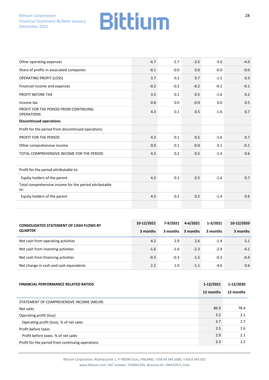| Other operating expenses                                      | $-4.7$ | $-2.7$ | $-3.5$ | $-3.0$ | $-4.0$ |
|---------------------------------------------------------------|--------|--------|--------|--------|--------|
| Share of profits in associated companies                      | $-0.1$ | $-0.0$ | 0.0    | $-0.0$ | $-0.0$ |
| <b>OPERATING PROFIT (LOSS)</b>                                | 3.7    | 0.2    | 0.7    | $-1.5$ | 0.3    |
| Financial income and expenses                                 | $-0.2$ | $-0.2$ | $-0.2$ | $-0.1$ | $-0.1$ |
| <b>PROFIT BEFORE TAX</b>                                      | 3.5    | 0.1    | 0.5    | $-1.6$ | 0.2    |
| Income tax                                                    | 0.8    | 0.0    | $-0.0$ | 0.0    | 0.5    |
| PROFIT FOR THE PERIOD FROM CONTINUING<br><b>OPERATIONS</b>    | 4.3    | 0.1    | 0.5    | $-1.6$ | 0.7    |
| <b>Discontinued operations</b>                                |        |        |        |        |        |
| Profit for the period from discontinued operations            |        |        |        |        |        |
| PROFIT FOR THE PERIOD                                         | 4.3    | 0.1    | 0.5    | $-1.6$ | 0.7    |
| Other comprehensive income                                    | 0.0    | 0.1    | $-0.0$ | 0.1    | $-0.1$ |
| TOTAL COMPREHENSIVE INCOME FOR THE PERIOD                     | 4.3    | 0.2    | 0.5    | $-1.4$ | 0.6    |
|                                                               |        |        |        |        |        |
| Profit for the period attributable to:                        |        |        |        |        |        |
| Equity holders of the parent                                  | 4.3    | 0.1    | 0.5    | $-1.6$ | 0.7    |
| Total comprehensive income for the period attributable<br>to: |        |        |        |        |        |
| Equity holders of the parent                                  | 4.3    | 0.2    | 0.5    | $-1.4$ | 0.6    |
|                                                               |        |        |        |        |        |

| <b>CONSOLIDATED STATEMENT OF CASH FLOWS BY</b> | 10-12/2021 | 7-9/2021 | 4-6/2021 | $1 - 3/2021$ | 10-12/2020 |
|------------------------------------------------|------------|----------|----------|--------------|------------|
| <b>QUARTER</b>                                 | 3 months   | 3 months | 3 months | 3 months     | 3 months   |
| Net cash from operating activities             | 4.2        | 2.9      | 2.6      | $-1.4$       | 5.1        |
| Net cash from investing activities             | $-1.6$     | $-1.6$   | $-2.3$   | $-2.9$       | $-4.1$     |
| Net cash from financing activities             | $-0.3$     | $-0.3$   | $-1.5$   | $-0.3$       | $-0.4$     |
| Net change in cash and cash equivalents        | 2.2        | 1.0      | $-1.1$   | $-4.6$       | 0.6        |

| <b>FINANCIAL PERFORMANCE RELATED RATIOS</b>      | 1-12/2021 | 1-12/2020 |
|--------------------------------------------------|-----------|-----------|
|                                                  | 12 months | 12 months |
| STATEMENT OF COMPREHENSIVE INCOME (MEUR)         |           |           |
| Net sales                                        | 86.9      | 78.4      |
| Operating profit (loss)                          | 3.2       | 2.1       |
| Operating profit (loss). % of net sales          | 3.7       | 2.7       |
| Profit before taxes                              | 2.5       | 1.6       |
| Profit before taxes. % of net sales              | 2.9       | 2.1       |
| Profit for the period from continuing operations | 3.3       | 2.2       |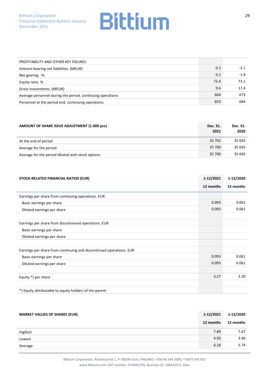| PROFITABILITY AND OTHER KEY FIGURES                        |      |        |
|------------------------------------------------------------|------|--------|
| Interest-bearing net liabilities. (MEUR)                   | 0.2  | $-2.1$ |
| Net gearing. -%                                            | 0.2  | $-1.9$ |
| Equity ratio. %                                            | 72.4 | 73.1   |
| Gross investments. (MEUR)                                  | 9.6  | 17.4   |
| Average personnel during the period. continuing operations | 664  | 673    |
| Personnel at the period end. continuing operations         | 653  | 684    |

| AMOUNT OF SHARE ISSUE ADJUSTMENT (1.000 pcs)      | Dec. 31.<br>2021 | Dec. 31.<br>2020 |
|---------------------------------------------------|------------------|------------------|
| At the end of period                              | 35 702           | 35 693           |
| Average for the period                            | 35 700           | 35 693           |
| Average for the period diluted with stock options | 35 700           | 35 693           |

| STOCK-RELATED FINANCIAL RATIOS (EUR)                                | 1-12/2021 | 1-12/2020 |
|---------------------------------------------------------------------|-----------|-----------|
|                                                                     | 12 months | 12 months |
| Earnings per share from continuing operations. EUR                  |           |           |
| Basic earnings per share                                            | 0.093     | 0.061     |
| Diluted earnings per share                                          | 0.093     | 0.061     |
|                                                                     |           |           |
| Earnings per share from discontinued operations. EUR                |           |           |
| Basic earnings per share                                            |           |           |
| Diluted earnings per share                                          |           |           |
|                                                                     |           |           |
| Earnings per share from continuing and discontinued operations. EUR |           |           |
| Basic earnings per share                                            | 0.093     | 0.061     |
| Diluted earnings per share                                          | 0.093     | 0.061     |
|                                                                     |           |           |
| Equity *) per share                                                 | 3.27      | 3.20      |
|                                                                     |           |           |
| *) Equity attributable to equity holders of the parent              |           |           |

| <b>MARKET VALUES OF SHARES (EUR)</b> | 1-12/2021 | 1-12/2020 |
|--------------------------------------|-----------|-----------|
|                                      | 12 months | 12 months |
| Highest                              | 7.89      | 7.67      |
| Lowest                               | 4.93      | 3.40      |
| Average                              | 6.18      | 5.74      |

Bittium Corporation, Ritaharjuntie 1, FI-90590 Oulu, FINLAND, +358 40 344 2000, +358 8 343 032 www.bittium.com, VAT number: FI10041295, Business ID: 1004129-5, Oulu